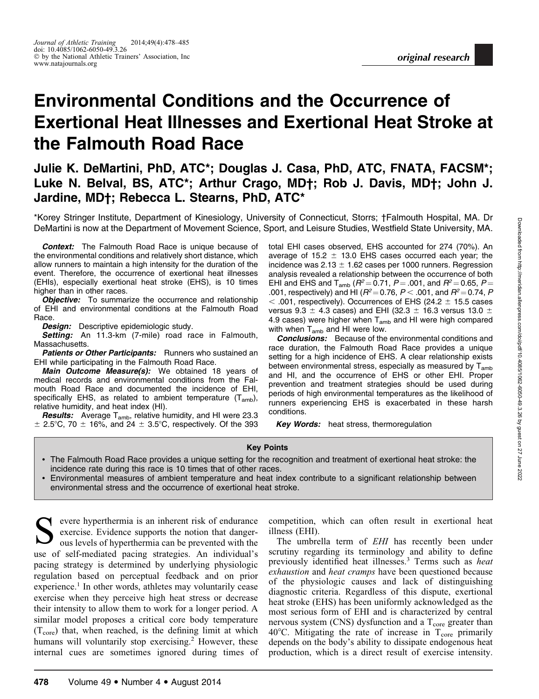# Environmental Conditions and the Occurrence of Exertional Heat Illnesses and Exertional Heat Stroke at the Falmouth Road Race

# Julie K. DeMartini, PhD, ATC\*; Douglas J. Casa, PhD, ATC, FNATA, FACSM\*; Luke N. Belval, BS, ATC\*; Arthur Crago, MD†; Rob J. Davis, MD†; John J. Jardine, MD†; Rebecca L. Stearns, PhD, ATC\*

\*Korey Stringer Institute, Department of Kinesiology, University of Connecticut, Storrs; †Falmouth Hospital, MA. Dr DeMartini is now at the Department of Movement Science, Sport, and Leisure Studies, Westfield State University, MA.

**Context:** The Falmouth Road Race is unique because of the environmental conditions and relatively short distance, which allow runners to maintain a high intensity for the duration of the event. Therefore, the occurrence of exertional heat illnesses (EHIs), especially exertional heat stroke (EHS), is 10 times higher than in other races.

**Objective:** To summarize the occurrence and relationship of EHI and environmental conditions at the Falmouth Road Race.

Design: Descriptive epidemiologic study.

Setting: An 11.3-km (7-mile) road race in Falmouth, Massachusetts.

Patients or Other Participants: Runners who sustained an EHI while participating in the Falmouth Road Race.

Main Outcome Measure(s): We obtained 18 years of medical records and environmental conditions from the Falmouth Road Race and documented the incidence of EHI, specifically EHS, as related to ambient temperature  $(T_{amb})$ , relative humidity, and heat index (HI).

**Results:** Average  $T_{amb}$ , relative humidity, and HI were 23.3  $\pm$  2.5°C, 70  $\pm$  16%, and 24  $\pm$  3.5°C, respectively. Of the 393 total EHI cases observed, EHS accounted for 274 (70%). An average of 15.2  $\pm$  13.0 EHS cases occurred each year; the incidence was  $2.13 \pm 1.62$  cases per 1000 runners. Regression analysis revealed a relationship between the occurrence of both EHI and EHS and T<sub>amb</sub> ( $R^2 = 0.71$ ,  $P = .001$ , and  $R^2 = 0.65$ ,  $P =$ .001, respectively) and HI ( $R^2$  = 0.76, P < .001, and  $R^2$  = 0.74, P  $<$  .001, respectively). Occurrences of EHS (24.2  $\pm$  15.5 cases versus 9.3  $\pm$  4.3 cases) and EHI (32.3  $\pm$  16.3 versus 13.0  $\pm$ 4.9 cases) were higher when  $T_{amb}$  and HI were high compared with when  $T_{amb}$  and HI were low.

**Conclusions:** Because of the environmental conditions and race duration, the Falmouth Road Race provides a unique setting for a high incidence of EHS. A clear relationship exists between environmental stress, especially as measured by  $T_{amb}$ and HI, and the occurrence of EHS or other EHI. Proper prevention and treatment strategies should be used during periods of high environmental temperatures as the likelihood of runners experiencing EHS is exacerbated in these harsh conditions.

Key Words: heat stress, thermoregulation

#### Key Points

- The Falmouth Road Race provides a unique setting for the recognition and treatment of exertional heat stroke: the incidence rate during this race is 10 times that of other races.

- Environmental measures of ambient temperature and heat index contribute to a significant relationship between environmental stress and the occurrence of exertional heat stroke.

evere hyperthermia is an inherent risk of endurance exercise. Evidence supports the notion that dangerous levels of hyperthermia can be prevented with the use of self-mediated pacing strategies. An individual's pacing strategy is determined by underlying physiologic regulation based on perceptual feedback and on prior experience.<sup>1</sup> In other words, athletes may voluntarily cease exercise when they perceive high heat stress or decrease their intensity to allow them to work for a longer period. A similar model proposes a critical core body temperature  $(T<sub>core</sub>)$  that, when reached, is the defining limit at which humans will voluntarily stop exercising.<sup>2</sup> However, these internal cues are sometimes ignored during times of

competition, which can often result in exertional heat illness (EHI).

The umbrella term of EHI has recently been under scrutiny regarding its terminology and ability to define previously identified heat illnesses.<sup>3</sup> Terms such as *heat* exhaustion and heat cramps have been questioned because of the physiologic causes and lack of distinguishing diagnostic criteria. Regardless of this dispute, exertional heat stroke (EHS) has been uniformly acknowledged as the most serious form of EHI and is characterized by central nervous system (CNS) dysfunction and a  $T_{\text{core}}$  greater than 40 $\degree$ C. Mitigating the rate of increase in  $T_{\text{core}}$  primarily depends on the body's ability to dissipate endogenous heat production, which is a direct result of exercise intensity.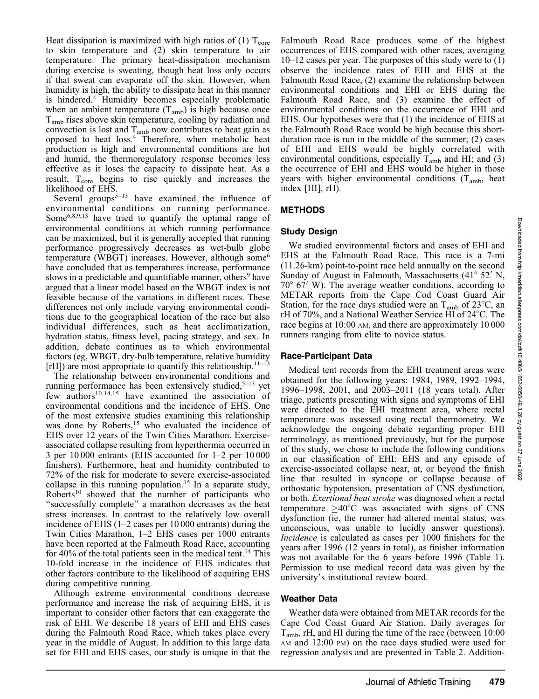Heat dissipation is maximized with high ratios of (1)  $T_{\text{core}}$ to skin temperature and (2) skin temperature to air temperature. The primary heat-dissipation mechanism during exercise is sweating, though heat loss only occurs if that sweat can evaporate off the skin. However, when humidity is high, the ability to dissipate heat in this manner is hindered.4 Humidity becomes especially problematic when an ambient temperature  $(T_{amb})$  is high because once Tamb rises above skin temperature, cooling by radiation and convection is lost and  $T_{amb}$  now contributes to heat gain as opposed to heat loss.<sup>4</sup> Therefore, when metabolic heat production is high and environmental conditions are hot and humid, the thermoregulatory response becomes less effective as it loses the capacity to dissipate heat. As a result,  $T_{\text{core}}$  begins to rise quickly and increases the likelihood of EHS.

Several groups<sup>5–13</sup> have examined the influence of environmental conditions on running performance. Some6,8,9,13 have tried to quantify the optimal range of environmental conditions at which running performance can be maximized, but it is generally accepted that running performance progressively decreases as wet-bulb globe temperature (WBGT) increases. However, although some<sup>6</sup> have concluded that as temperatures increase, performance slows in a predictable and quantifiable manner, others<sup>9</sup> have argued that a linear model based on the WBGT index is not feasible because of the variations in different races. These differences not only include varying environmental conditions due to the geographical location of the race but also individual differences, such as heat acclimatization, hydration status, fitness level, pacing strategy, and sex. In addition, debate continues as to which environmental factors (eg, WBGT, dry-bulb temperature, relative humidity [rH]) are most appropriate to quantify this relationship.<sup>11–13</sup>

The relationship between environmental conditions and running performance has been extensively studied, $5-13$  yet few authors<sup>10,14,15</sup> have examined the association of environmental conditions and the incidence of EHS. One of the most extensive studies examining this relationship was done by Roberts,<sup>15</sup> who evaluated the incidence of EHS over 12 years of the Twin Cities Marathon. Exerciseassociated collapse resulting from hyperthermia occurred in 3 per 10 000 entrants (EHS accounted for 1–2 per 10 000 finishers). Furthermore, heat and humidity contributed to 72% of the risk for moderate to severe exercise-associated collapse in this running population.<sup>15</sup> In a separate study, Roberts<sup>10</sup> showed that the number of participants who ''successfully complete'' a marathon decreases as the heat stress increases. In contrast to the relatively low overall incidence of EHS (1–2 cases per 10 000 entrants) during the Twin Cities Marathon, 1–2 EHS cases per 1000 entrants have been reported at the Falmouth Road Race, accounting for 40% of the total patients seen in the medical tent.<sup>14</sup> This 10-fold increase in the incidence of EHS indicates that other factors contribute to the likelihood of acquiring EHS during competitive running.

Although extreme environmental conditions decrease performance and increase the risk of acquiring EHS, it is important to consider other factors that can exaggerate the risk of EHI. We describe 18 years of EHI and EHS cases during the Falmouth Road Race, which takes place every year in the middle of August. In addition to this large data set for EHI and EHS cases, our study is unique in that the Falmouth Road Race produces some of the highest occurrences of EHS compared with other races, averaging 10–12 cases per year. The purposes of this study were to (1) observe the incidence rates of EHI and EHS at the Falmouth Road Race, (2) examine the relationship between environmental conditions and EHI or EHS during the Falmouth Road Race, and (3) examine the effect of environmental conditions on the occurrence of EHI and EHS. Our hypotheses were that (1) the incidence of EHS at the Falmouth Road Race would be high because this shortduration race is run in the middle of the summer; (2) cases of EHI and EHS would be highly correlated with environmental conditions, especially  $T_{amb}$  and HI; and (3) the occurrence of EHI and EHS would be higher in those years with higher environmental conditions  $(T_{amb}$ , heat index [HI], rH).

# METHODS

# Study Design

We studied environmental factors and cases of EHI and EHS at the Falmouth Road Race. This race is a 7-mi (11.26-km) point-to-point race held annually on the second Sunday of August in Falmouth, Massachusetts  $(41^{\circ} 52' N,$  $70^{\circ}$  67' W). The average weather conditions, according to METAR reports from the Cape Cod Coast Guard Air Station, for the race days studied were an  $T_{amb}$  of 23<sup>o</sup>C, an rH of 70%, and a National Weather Service HI of 24°C. The race begins at 10:00 AM, and there are approximately 10 000 runners ranging from elite to novice status.

# Race-Participant Data

Medical tent records from the EHI treatment areas were obtained for the following years: 1984, 1989, 1992–1994, 1996–1998, 2001, and 2003–2011 (18 years total). After triage, patients presenting with signs and symptoms of EHI were directed to the EHI treatment area, where rectal temperature was assessed using rectal thermometry. We acknowledge the ongoing debate regarding proper EHI terminology, as mentioned previously, but for the purpose of this study, we chose to include the following conditions in our classification of EHI: EHS and any episode of exercise-associated collapse near, at, or beyond the finish line that resulted in syncope or collapse because of orthostatic hypotension, presentation of CNS dysfunction, or both. Exertional heat stroke was diagnosed when a rectal temperature  $\geq 40^{\circ}$ C was associated with signs of CNS dysfunction (ie, the runner had altered mental status, was unconscious, was unable to lucidly answer questions). Incidence is calculated as cases per 1000 finishers for the years after 1996 (12 years in total), as finisher information was not available for the 6 years before 1996 (Table 1). Permission to use medical record data was given by the university's institutional review board.

# Weather Data

Weather data were obtained from METAR records for the Cape Cod Coast Guard Air Station. Daily averages for  $T_{amb}$ , rH, and HI during the time of the race (between 10:00 AM and 12:00 PM) on the race days studied were used for regression analysis and are presented in Table 2. Addition-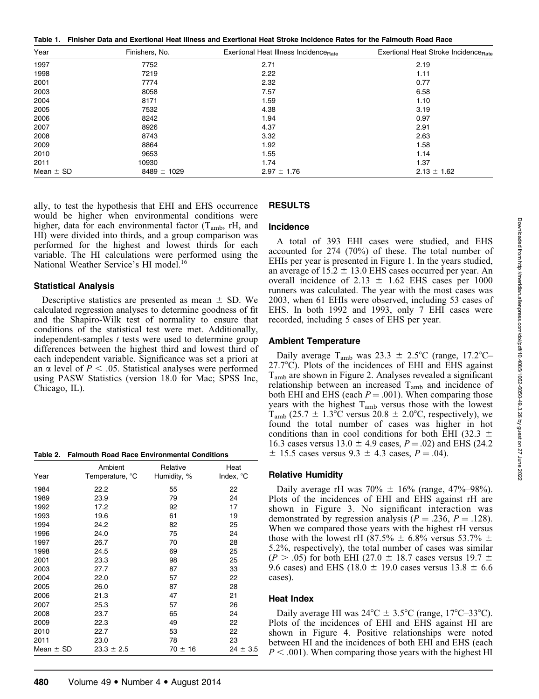Table 1. Finisher Data and Exertional Heat Illness and Exertional Heat Stroke Incidence Rates for the Falmouth Road Race

| Year          | Finishers, No.  | Exertional Heat Illness Incidence <sub>Bate</sub> | Exertional Heat Stroke Incidence <sub>Rate</sub> |
|---------------|-----------------|---------------------------------------------------|--------------------------------------------------|
| 1997          | 7752            | 2.71                                              | 2.19                                             |
| 1998          | 7219            | 2.22                                              | 1.11                                             |
| 2001          | 7774            | 2.32                                              | 0.77                                             |
| 2003          | 8058            | 7.57                                              | 6.58                                             |
| 2004          | 8171            | 1.59                                              | 1.10                                             |
| 2005          | 7532            | 4.38                                              | 3.19                                             |
| 2006          | 8242            | 1.94                                              | 0.97                                             |
| 2007          | 8926            | 4.37                                              | 2.91                                             |
| 2008          | 8743            | 3.32                                              | 2.63                                             |
| 2009          | 8864            | 1.92                                              | 1.58                                             |
| 2010          | 9653            | 1.55                                              | 1.14                                             |
| 2011          | 10930           | 1.74                                              | 1.37                                             |
| Mean $\pm$ SD | $8489 \pm 1029$ | $2.97 \pm 1.76$                                   | $2.13 \pm 1.62$                                  |

ally, to test the hypothesis that EHI and EHS occurrence would be higher when environmental conditions were higher, data for each environmental factor  $(T_{amb}, rH,$  and HI) were divided into thirds, and a group comparison was performed for the highest and lowest thirds for each variable. The HI calculations were performed using the National Weather Service's HI model.<sup>16</sup>

#### Statistical Analysis

Descriptive statistics are presented as mean  $\pm$  SD. We calculated regression analyses to determine goodness of fit and the Shapiro-Wilk test of normality to ensure that conditions of the statistical test were met. Additionally, independent-samples t tests were used to determine group differences between the highest third and lowest third of each independent variable. Significance was set a priori at an  $\alpha$  level of  $P < .05$ . Statistical analyses were performed using PASW Statistics (version 18.0 for Mac; SPSS Inc, Chicago, IL).

|  |  |  | Table 2. Falmouth Road Race Environmental Conditions |  |
|--|--|--|------------------------------------------------------|--|
|--|--|--|------------------------------------------------------|--|

| Year          | Ambient<br>Temperature, °C | Relative<br>Humidity, % | Heat<br>Index, °C |
|---------------|----------------------------|-------------------------|-------------------|
| 1984          | 22.2                       | 55                      | 22                |
| 1989          | 23.9                       | 79                      | 24                |
| 1992          | 17.2                       | 92                      | 17                |
| 1993          | 19.6                       | 61                      | 19                |
| 1994          | 24.2                       | 82                      | 25                |
| 1996          | 24.0                       | 75                      | 24                |
| 1997          | 26.7                       | 70                      | 28                |
| 1998          | 24.5                       | 69                      | 25                |
| 2001          | 23.3                       | 98                      | 25                |
| 2003          | 27.7                       | 87                      | 33                |
| 2004          | 22.0                       | 57                      | 22                |
| 2005          | 26.0                       | 87                      | 28                |
| 2006          | 21.3                       | 47                      | 21                |
| 2007          | 25.3                       | 57                      | 26                |
| 2008          | 23.7                       | 65                      | 24                |
| 2009          | 22.3                       | 49                      | 22                |
| 2010          | 22.7                       | 53                      | 22                |
| 2011          | 23.0                       | 78                      | 23                |
| Mean $\pm$ SD | $23.3 \pm 2.5$             | $70 \pm 16$             | $24 \pm 3.5$      |

## RESULTS

#### **Incidence**

A total of 393 EHI cases were studied, and EHS accounted for 274 (70%) of these. The total number of EHIs per year is presented in Figure 1. In the years studied, an average of  $15.2 \pm 13.0$  EHS cases occurred per year. An overall incidence of 2.13  $\pm$  1.62 EHS cases per 1000 runners was calculated. The year with the most cases was 2003, when 61 EHIs were observed, including 53 cases of EHS. In both 1992 and 1993, only 7 EHI cases were recorded, including 5 cases of EHS per year.

#### Ambient Temperature

Daily average T<sub>amb</sub> was  $23.3 \pm 2.5^{\circ}$ C (range, 17.2°C–  $27.7^{\circ}$ C). Plots of the incidences of EHI and EHS against Tamb are shown in Figure 2. Analyses revealed a significant relationship between an increased  $T_{amb}$  and incidence of both EHI and EHS (each  $P = .001$ ). When comparing those years with the highest  $T_{amb}$  versus those with the lowest  $T_{\text{amb}}$  (25.7  $\pm$  1.3°C versus 20.8  $\pm$  2.0°C, respectively), we found the total number of cases was higher in hot conditions than in cool conditions for both EHI (32.3  $\pm$ 16.3 cases versus  $13.0 \pm 4.9$  cases,  $P = .02$ ) and EHS (24.2)  $\pm$  15.5 cases versus 9.3  $\pm$  4.3 cases, P = .04).

#### Relative Humidity

Daily average rH was  $70\% \pm 16\%$  (range, 47%–98%). Plots of the incidences of EHI and EHS against rH are shown in Figure 3. No significant interaction was demonstrated by regression analysis ( $P = .236$ ,  $P = .128$ ). When we compared those years with the highest rH versus those with the lowest rH (87.5%  $\pm$  6.8% versus 53.7%  $\pm$ 5.2%, respectively), the total number of cases was similar (P > .05) for both EHI (27.0  $\pm$  18.7 cases versus 19.7  $\pm$ 9.6 cases) and EHS (18.0  $\pm$  19.0 cases versus 13.8  $\pm$  6.6 cases).

#### Heat Index

Daily average HI was  $24^{\circ}C \pm 3.5^{\circ}C$  (range,  $17^{\circ}C$ –33°C). Plots of the incidences of EHI and EHS against HI are shown in Figure 4. Positive relationships were noted between HI and the incidences of both EHI and EHS (each  $P < .001$ ). When comparing those years with the highest HI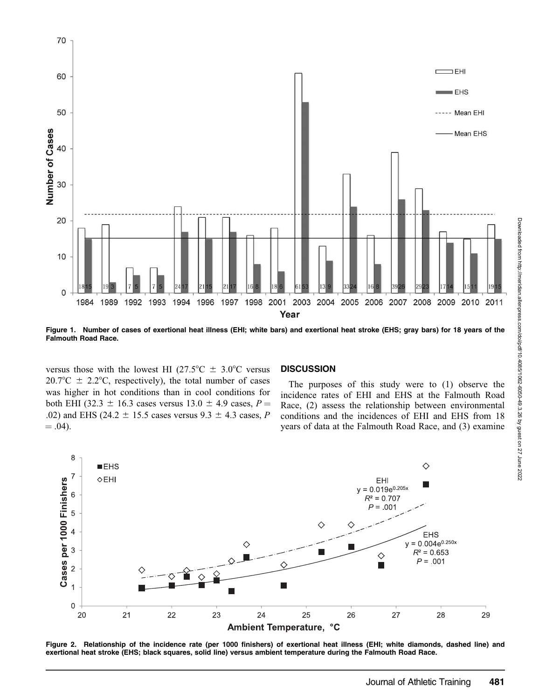

Figure 1. Number of cases of exertional heat illness (EHI; white bars) and exertional heat stroke (EHS; gray bars) for 18 years of the Falmouth Road Race.

versus those with the lowest HI (27.5 $\degree$ C  $\pm$  3.0 $\degree$ C versus  $20.7^{\circ}\text{C} \pm 2.2^{\circ}\text{C}$ , respectively), the total number of cases was higher in hot conditions than in cool conditions for both EHI (32.3  $\pm$  16.3 cases versus 13.0  $\pm$  4.9 cases, P = .02) and EHS (24.2  $\pm$  15.5 cases versus 9.3  $\pm$  4.3 cases, P  $= .04$ ).

#### **DISCUSSION**

The purposes of this study were to (1) observe the incidence rates of EHI and EHS at the Falmouth Road Race, (2) assess the relationship between environmental conditions and the incidences of EHI and EHS from 18 years of data at the Falmouth Road Race, and (3) examine



Figure 2. Relationship of the incidence rate (per 1000 finishers) of exertional heat illness (EHI; white diamonds, dashed line) and exertional heat stroke (EHS; black squares, solid line) versus ambient temperature during the Falmouth Road Race.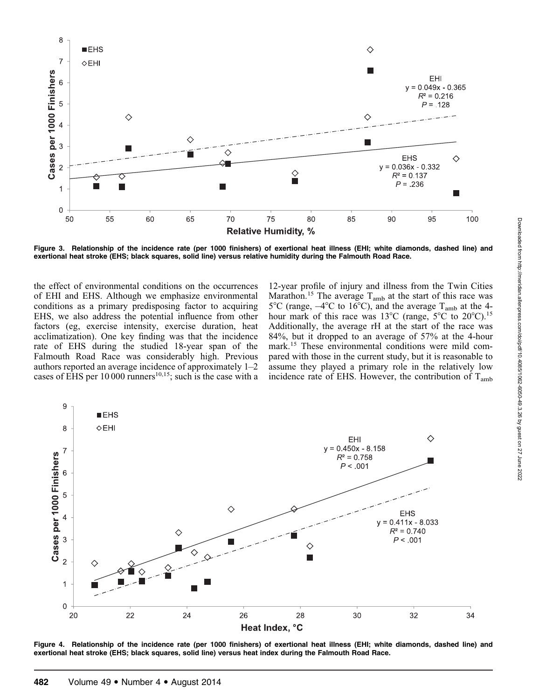

Figure 3. Relationship of the incidence rate (per 1000 finishers) of exertional heat illness (EHI; white diamonds, dashed line) and exertional heat stroke (EHS; black squares, solid line) versus relative humidity during the Falmouth Road Race.

the effect of environmental conditions on the occurrences of EHI and EHS. Although we emphasize environmental conditions as a primary predisposing factor to acquiring EHS, we also address the potential influence from other factors (eg, exercise intensity, exercise duration, heat acclimatization). One key finding was that the incidence rate of EHS during the studied 18-year span of the Falmouth Road Race was considerably high. Previous authors reported an average incidence of approximately 1–2 cases of EHS per  $10\,000$  runners<sup>10,15</sup>; such is the case with a

12-year profile of injury and illness from the Twin Cities Marathon.<sup>15</sup> The average  $T_{amb}$  at the start of this race was  $5^{\circ}$ C (range,  $-4^{\circ}$ C to 16<sup>°</sup>C), and the average T<sub>amb</sub> at the 4hour mark of this race was 13<sup>o</sup>C (range,  $5^{\circ}$ C to  $20^{\circ}$ C).<sup>15</sup> Additionally, the average rH at the start of the race was 84%, but it dropped to an average of 57% at the 4-hour mark.<sup>15</sup> These environmental conditions were mild compared with those in the current study, but it is reasonable to assume they played a primary role in the relatively low incidence rate of EHS. However, the contribution of  $T_{amb}$ 



Figure 4. Relationship of the incidence rate (per 1000 finishers) of exertional heat illness (EHI; white diamonds, dashed line) and exertional heat stroke (EHS; black squares, solid line) versus heat index during the Falmouth Road Race.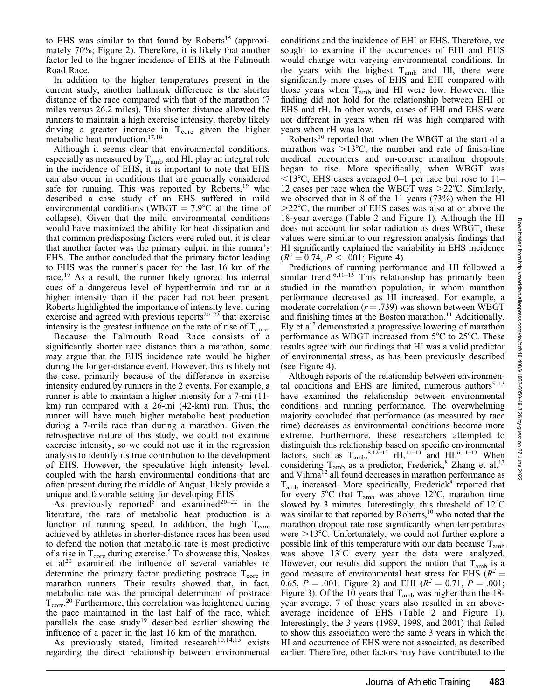to EHS was similar to that found by Roberts<sup>15</sup> (approximately 70%; Figure 2). Therefore, it is likely that another factor led to the higher incidence of EHS at the Falmouth Road Race.

In addition to the higher temperatures present in the current study, another hallmark difference is the shorter distance of the race compared with that of the marathon (7 miles versus 26.2 miles). This shorter distance allowed the runners to maintain a high exercise intensity, thereby likely driving a greater increase in  $T_{\text{core}}$  given the higher metabolic heat production.17,18

Although it seems clear that environmental conditions, especially as measured by  $T_{amb}$  and HI, play an integral role in the incidence of EHS, it is important to note that EHS can also occur in conditions that are generally considered safe for running. This was reported by Roberts, $19$  who described a case study of an EHS suffered in mild environmental conditions (WBGT =  $7.9^{\circ}$ C at the time of collapse). Given that the mild environmental conditions would have maximized the ability for heat dissipation and that common predisposing factors were ruled out, it is clear that another factor was the primary culprit in this runner's EHS. The author concluded that the primary factor leading to EHS was the runner's pacer for the last 16 km of the race.<sup>19</sup> As a result, the runner likely ignored his internal cues of a dangerous level of hyperthermia and ran at a higher intensity than if the pacer had not been present. Roberts highlighted the importance of intensity level during exercise and agreed with previous reports $20-22$  that exercise intensity is the greatest influence on the rate of rise of  $T_{\text{core}}$ .

Because the Falmouth Road Race consists of a significantly shorter race distance than a marathon, some may argue that the EHS incidence rate would be higher during the longer-distance event. However, this is likely not the case, primarily because of the difference in exercise intensity endured by runners in the 2 events. For example, a runner is able to maintain a higher intensity for a 7-mi (11 km) run compared with a 26-mi (42-km) run. Thus, the runner will have much higher metabolic heat production during a 7-mile race than during a marathon. Given the retrospective nature of this study, we could not examine exercise intensity, so we could not use it in the regression analysis to identify its true contribution to the development of EHS. However, the speculative high intensity level, coupled with the harsh environmental conditions that are often present during the middle of August, likely provide a unique and favorable setting for developing EHS.

As previously reported<sup>5</sup> and examined<sup>20-22</sup> in the literature, the rate of metabolic heat production is a function of running speed. In addition, the high  $T_{\text{core}}$ achieved by athletes in shorter-distance races has been used to defend the notion that metabolic rate is most predictive of a rise in  $T_{\text{core}}$  during exercise.<sup>5</sup> To showcase this, Noakes et al<sup>20</sup> examined the influence of several variables to determine the primary factor predicting postrace  $T_{\text{core}}$  in marathon runners. Their results showed that, in fact, metabolic rate was the principal determinant of postrace  $T_{\text{core}}^{20}$  Furthermore, this correlation was heightened during the pace maintained in the last half of the race, which parallels the case study<sup>19</sup> described earlier showing the influence of a pacer in the last 16 km of the marathon.

As previously stated, limited research<sup>10,14,15</sup> exists regarding the direct relationship between environmental

conditions and the incidence of EHI or EHS. Therefore, we sought to examine if the occurrences of EHI and EHS would change with varying environmental conditions. In the years with the highest  $T_{amb}$  and HI, there were significantly more cases of EHS and EHI compared with those years when  $T_{amb}$  and HI were low. However, this finding did not hold for the relationship between EHI or EHS and rH. In other words, cases of EHI and EHS were not different in years when rH was high compared with years when rH was low.

Roberts<sup>10</sup> reported that when the WBGT at the start of a marathon was  $>13^{\circ}$ C, the number and rate of finish-line medical encounters and on-course marathon dropouts began to rise. More specifically, when WBGT was  $\leq$ 13°C, EHS cases averaged 0–1 per race but rose to 11– 12 cases per race when the WBGT was  $>22^{\circ}$ C. Similarly, we observed that in 8 of the 11 years (73%) when the HI  $>22^{\circ}$ C, the number of EHS cases was also at or above the 18-year average (Table 2 and Figure 1). Although the HI does not account for solar radiation as does WBGT, these values were similar to our regression analysis findings that HI significantly explained the variability in EHS incidence  $(R^2 = 0.74, P < .001$ ; Figure 4).

Predictions of running performance and HI followed a similar trend.<sup>6,11–13</sup> This relationship has primarily been studied in the marathon population, in whom marathon performance decreased as HI increased. For example, a moderate correlation ( $r = .739$ ) was shown between WBGT and finishing times at the Boston marathon.<sup>11</sup> Additionally, Ely et al<sup>7</sup> demonstrated a progressive lowering of marathon performance as WBGT increased from  $5^{\circ}$ C to  $25^{\circ}$ C. These results agree with our findings that HI was a valid predictor of environmental stress, as has been previously described (see Figure 4).

Although reports of the relationship between environmental conditions and EHS are limited, numerous authors $5-13$ have examined the relationship between environmental conditions and running performance. The overwhelming majority concluded that performance (as measured by race time) decreases as environmental conditions become more extreme. Furthermore, these researchers attempted to distinguish this relationship based on specific environmental factors, such as  $T_{\text{amb}}^{8,12-13}$  rH,<sup>11-13</sup> and HI.<sup>6,11-13</sup> When considering  $T_{\text{amb}}$  as a predictor, Frederick,<sup>8</sup> Zhang et al,<sup>13</sup> and Vihma12 all found decreases in marathon performance as  $T_{amb}$  increased. More specifically, Frederick<sup>8</sup> reported that for every 5°C that  $T_{amb}$  was above 12°C, marathon time slowed by 3 minutes. Interestingly, this threshold of  $12^{\circ}$ C was similar to that reported by Roberts,<sup>10</sup> who noted that the marathon dropout rate rose significantly when temperatures were  $>13^{\circ}$ C. Unfortunately, we could not further explore a possible link of this temperature with our data because  $T_{amb}$ was above  $13^{\circ}$ C every year the data were analyzed. However, our results did support the notion that  $T_{amb}$  is a good measure of environmental heat stress for EHS ( $R^2 =$ 0.65,  $P = .001$ ; Figure 2) and EHI ( $R^2 = 0.71$ ,  $P = .001$ ; Figure 3). Of the 10 years that  $T_{amb}$  was higher than the 18year average, 7 of those years also resulted in an aboveaverage incidence of EHS (Table 2 and Figure 1). Interestingly, the 3 years (1989, 1998, and 2001) that failed to show this association were the same 3 years in which the HI and occurrence of EHS were not associated, as described earlier. Therefore, other factors may have contributed to the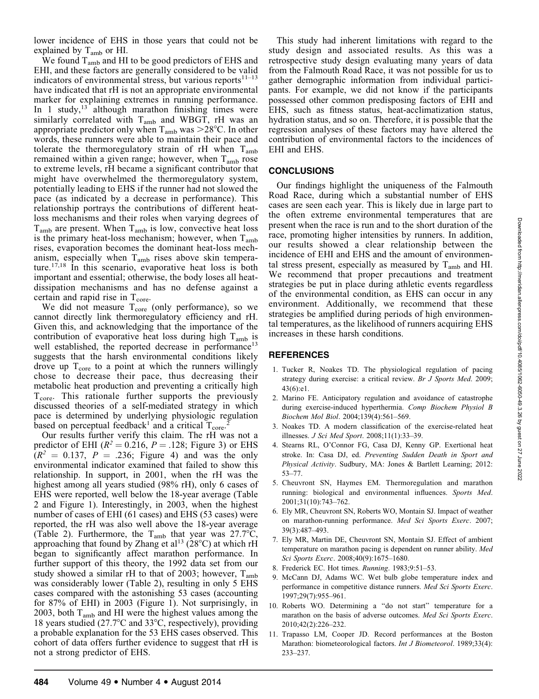Downloaded from http://meridian.allenpress.com/doi/pdf/10.4085/1062-6050-49.3.26 by guest on 27 June 2022 Downloaded from http://meridian.allenpress.com/doi/pdf/10.4085/1062-6050-49.3.26 by guest on 27 June 2022

lower incidence of EHS in those years that could not be explained by  $T_{amb}$  or HI.

We found  $T_{amb}$  and HI to be good predictors of EHS and EHI, and these factors are generally considered to be valid indicators of environmental stress, but various reports $11-13$ have indicated that rH is not an appropriate environmental marker for explaining extremes in running performance. In 1 study, $13$  although marathon finishing times were similarly correlated with  $T_{amb}$  and WBGT, rH was an appropriate predictor only when  $T_{amb}$  was  $>28^{\circ}$ C. In other words, these runners were able to maintain their pace and tolerate the thermoregulatory strain of rH when T<sub>amb</sub> remained within a given range; however, when  $T_{amb}$  rose to extreme levels, rH became a significant contributor that might have overwhelmed the thermoregulatory system, potentially leading to EHS if the runner had not slowed the pace (as indicated by a decrease in performance). This relationship portrays the contributions of different heatloss mechanisms and their roles when varying degrees of  $T_{amb}$  are present. When  $T_{amb}$  is low, convective heat loss is the primary heat-loss mechanism; however, when  $T_{amb}$ rises, evaporation becomes the dominant heat-loss mechanism, especially when  $T_{amb}$  rises above skin temperature.<sup>17,18</sup> In this scenario, evaporative heat loss is both important and essential; otherwise, the body loses all heatdissipation mechanisms and has no defense against a certain and rapid rise in  $T_{\text{core}}$ .

We did not measure  $T_{\text{core}}$  (only performance), so we cannot directly link thermoregulatory efficiency and rH. Given this, and acknowledging that the importance of the contribution of evaporative heat loss during high  $T_{amb}$  is well established, the reported decrease in performance<sup>13</sup> suggests that the harsh environmental conditions likely drove up  $T_{\text{core}}$  to a point at which the runners willingly chose to decrease their pace, thus decreasing their metabolic heat production and preventing a critically high  $T_{\text{core}}$ . This rationale further supports the previously discussed theories of a self-mediated strategy in which pace is determined by underlying physiologic regulation based on perceptual feedback<sup>1</sup> and a critical  $T_{\text{core}}^2$ .

Our results further verify this claim. The rH was not a predictor of EHI ( $R^2 = 0.216$ ,  $P = .128$ ; Figure 3) or EHS  $(R<sup>2</sup> = 0.137, P = .236;$  Figure 4) and was the only environmental indicator examined that failed to show this relationship. In support, in 2001, when the rH was the highest among all years studied (98% rH), only 6 cases of EHS were reported, well below the 18-year average (Table 2 and Figure 1). Interestingly, in 2003, when the highest number of cases of EHI (61 cases) and EHS (53 cases) were reported, the rH was also well above the 18-year average (Table 2). Furthermore, the T<sub>amb</sub> that year was  $27.7^{\circ}C$ , approaching that found by Zhang et al<sup>13</sup> (28 $^{\circ}$ C) at which rH began to significantly affect marathon performance. In further support of this theory, the 1992 data set from our study showed a similar rH to that of 2003; however,  $T_{amb}$ was considerably lower (Table 2), resulting in only 5 EHS cases compared with the astonishing 53 cases (accounting for 87% of EHI) in 2003 (Figure 1). Not surprisingly, in 2003, both  $T_{amb}$  and HI were the highest values among the 18 years studied  $(27.7^{\circ}$ C and  $33^{\circ}$ C, respectively), providing a probable explanation for the 53 EHS cases observed. This cohort of data offers further evidence to suggest that rH is not a strong predictor of EHS.

This study had inherent limitations with regard to the study design and associated results. As this was a retrospective study design evaluating many years of data from the Falmouth Road Race, it was not possible for us to gather demographic information from individual participants. For example, we did not know if the participants possessed other common predisposing factors of EHI and EHS, such as fitness status, heat-acclimatization status, hydration status, and so on. Therefore, it is possible that the regression analyses of these factors may have altered the contribution of environmental factors to the incidences of EHI and EHS.

### **CONCLUSIONS**

Our findings highlight the uniqueness of the Falmouth Road Race, during which a substantial number of EHS cases are seen each year. This is likely due in large part to the often extreme environmental temperatures that are present when the race is run and to the short duration of the race, promoting higher intensities by runners. In addition, our results showed a clear relationship between the incidence of EHI and EHS and the amount of environmental stress present, especially as measured by  $T_{amb}$  and HI. We recommend that proper precautions and treatment strategies be put in place during athletic events regardless of the environmental condition, as EHS can occur in any environment. Additionally, we recommend that these strategies be amplified during periods of high environmental temperatures, as the likelihood of runners acquiring EHS increases in these harsh conditions.

#### REFERENCES

- 1. Tucker R, Noakes TD. The physiological regulation of pacing strategy during exercise: a critical review. Br J Sports Med. 2009; 43(6):e1.
- 2. Marino FE. Anticipatory regulation and avoidance of catastrophe during exercise-induced hyperthermia. Comp Biochem Physiol B Biochem Mol Biol. 2004;139(4):561–569.
- 3. Noakes TD. A modern classification of the exercise-related heat illnesses. J Sci Med Sport. 2008;11(1):33–39.
- 4. Stearns RL, O'Connor FG, Casa DJ, Kenny GP. Exertional heat stroke. In: Casa DJ, ed. Preventing Sudden Death in Sport and Physical Activity. Sudbury, MA: Jones & Bartlett Learning; 2012: 53–77.
- 5. Cheuvront SN, Haymes EM. Thermoregulation and marathon running: biological and environmental influences. Sports Med. 2001;31(10):743–762.
- 6. Ely MR, Cheuvront SN, Roberts WO, Montain SJ. Impact of weather on marathon-running performance. Med Sci Sports Exerc. 2007; 39(3):487–493.
- 7. Ely MR, Martin DE, Cheuvront SN, Montain SJ. Effect of ambient temperature on marathon pacing is dependent on runner ability. Med Sci Sports Exerc. 2008;40(9):1675–1680.
- 8. Frederick EC. Hot times. Running. 1983;9:51–53.
- 9. McCann DJ, Adams WC. Wet bulb globe temperature index and performance in competitive distance runners. Med Sci Sports Exerc. 1997;29(7):955–961.
- 10. Roberts WO. Determining a ''do not start'' temperature for a marathon on the basis of adverse outcomes. Med Sci Sports Exerc. 2010;42(2):226–232.
- 11. Trapasso LM, Cooper JD. Record performances at the Boston Marathon: biometeorological factors. Int J Biometeorol. 1989;33(4): 233–237.